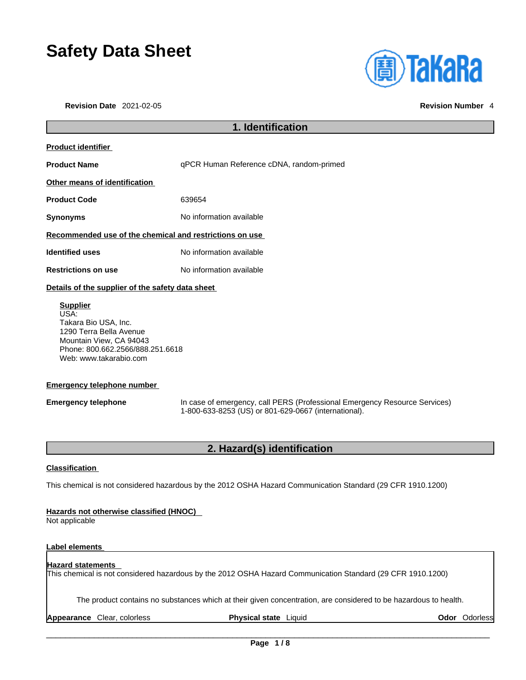## **Safety Data Sheet**

**Revision Date** 2021-02-05 **Revision Number** 4



## **1. Identification Product identifier Product Name deman Reference cDNA**, random-primed **Other means of identification Product Code** 639654 **Synonyms** No information available **Recommended use of the chemical and restrictions on use Identified uses** No information available **Restrictions on use** No information available **Details of the supplier of the safety data sheet Supplier** USA: Takara Bio USA, Inc.

1290 Terra Bella Avenue Mountain View, CA 94043 Phone: 800.662.2566/888.251.6618 Web: www.takarabio.com

#### **Emergency telephone number**

**Emergency telephone** In case of emergency, call PERS (Professional Emergency Resource Services) 1-800-633-8253 (US) or 801-629-0667 (international).

### **2. Hazard(s) identification**

#### **Classification**

This chemical is not considered hazardous by the 2012 OSHA Hazard Communication Standard (29 CFR 1910.1200)

#### **Hazards not otherwise classified (HNOC)**

Not applicable

#### **Label elements**

### **Hazard statements**  This chemical is not considered hazardous by the 2012 OSHA Hazard Communication Standard (29 CFR 1910.1200)

The product contains no substances which at their given concentration, are considered to be hazardous to health.

**Appearance** Clear, colorless **Physical state** Liquid **Odor** Odorless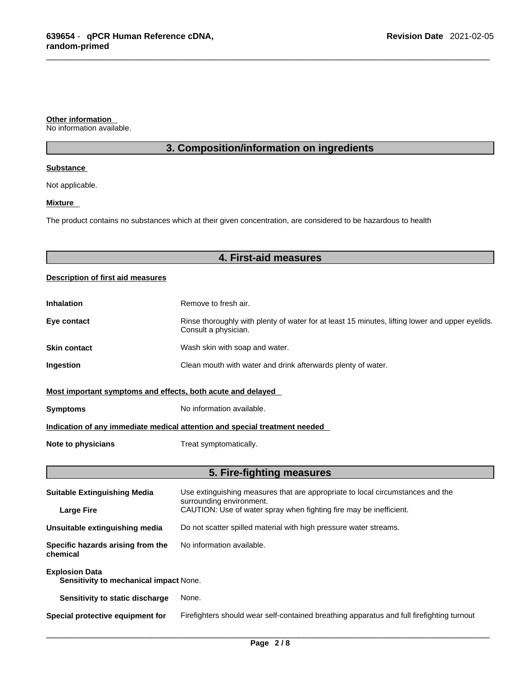#### **Other information**

No information available.

## **3. Composition/information on ingredients**

#### **Substance**

Not applicable.

#### **Mixture**

L

The product contains no substances which at their given concentration, are considered to be hazardous to health

|                                                                 | 4. First-aid measures                                                                                                   |  |  |  |  |
|-----------------------------------------------------------------|-------------------------------------------------------------------------------------------------------------------------|--|--|--|--|
| Description of first aid measures                               |                                                                                                                         |  |  |  |  |
| <b>Inhalation</b>                                               | Remove to fresh air.                                                                                                    |  |  |  |  |
| Eye contact                                                     | Rinse thoroughly with plenty of water for at least 15 minutes, lifting lower and upper eyelids.<br>Consult a physician. |  |  |  |  |
| <b>Skin contact</b>                                             | Wash skin with soap and water.                                                                                          |  |  |  |  |
| Ingestion                                                       | Clean mouth with water and drink afterwards plenty of water.                                                            |  |  |  |  |
| Most important symptoms and effects, both acute and delayed     |                                                                                                                         |  |  |  |  |
| <b>Symptoms</b>                                                 | No information available.                                                                                               |  |  |  |  |
|                                                                 | Indication of any immediate medical attention and special treatment needed                                              |  |  |  |  |
| <b>Note to physicians</b>                                       | Treat symptomatically.                                                                                                  |  |  |  |  |
|                                                                 | 5. Fire-fighting measures                                                                                               |  |  |  |  |
| <b>Suitable Extinguishing Media</b>                             | Use extinguishing measures that are appropriate to local circumstances and the<br>surrounding environment.              |  |  |  |  |
| <b>Large Fire</b>                                               | CAUTION: Use of water spray when fighting fire may be inefficient.                                                      |  |  |  |  |
| Unsuitable extinguishing media                                  | Do not scatter spilled material with high pressure water streams.                                                       |  |  |  |  |
| Specific hazards arising from the<br>chemical                   | No information available.                                                                                               |  |  |  |  |
| <b>Explosion Data</b><br>Sensitivity to mechanical impact None. |                                                                                                                         |  |  |  |  |
| Sensitivity to static discharge                                 | None.                                                                                                                   |  |  |  |  |

**Special protective equipment for** Firefighters should wear self-contained breathing apparatus and full firefighting turnout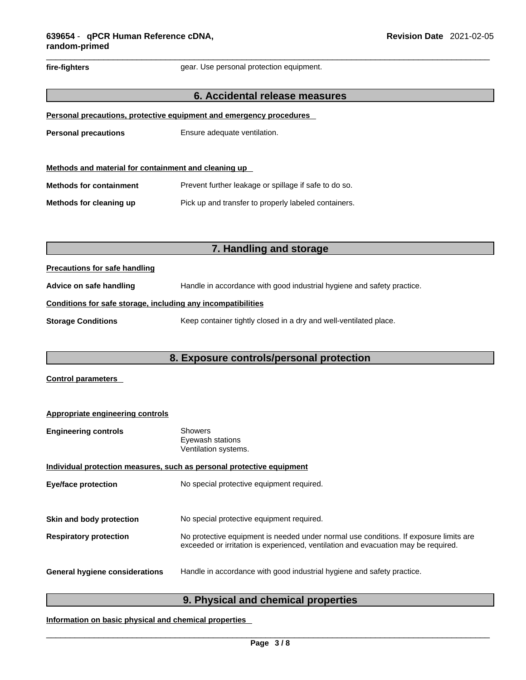# fire-fighters **gear.** Use personal protection equipment. **6. Accidental release measures Personal precautions, protective equipment and emergency procedures Personal precautions** Ensure adequate ventilation. **Methods and material for containment and cleaning up Methods for containment** Prevent further leakage or spillage if safe to do so. **Methods for cleaning up** Pick up and transfer to properly labeled containers. **7. Handling and storage Precautions for safe handling Advice on safe handling** Handle in accordance with good industrial hygiene and safety practice.

#### **Conditions for safe storage, including any incompatibilities**

**Storage Conditions** Keep container tightly closed in a dry and well-ventilated place.

**8. Exposure controls/personal protection**

#### **Control parameters**

| Appropriate engineering controls                                      |                                                                                                                                                                             |  |  |  |  |
|-----------------------------------------------------------------------|-----------------------------------------------------------------------------------------------------------------------------------------------------------------------------|--|--|--|--|
| <b>Engineering controls</b>                                           | <b>Showers</b><br>Eyewash stations<br>Ventilation systems.                                                                                                                  |  |  |  |  |
| Individual protection measures, such as personal protective equipment |                                                                                                                                                                             |  |  |  |  |
| <b>Eye/face protection</b>                                            | No special protective equipment required.                                                                                                                                   |  |  |  |  |
|                                                                       |                                                                                                                                                                             |  |  |  |  |
| Skin and body protection                                              | No special protective equipment required.                                                                                                                                   |  |  |  |  |
| <b>Respiratory protection</b>                                         | No protective equipment is needed under normal use conditions. If exposure limits are<br>exceeded or irritation is experienced, ventilation and evacuation may be required. |  |  |  |  |
| <b>General hygiene considerations</b>                                 | Handle in accordance with good industrial hygiene and safety practice.                                                                                                      |  |  |  |  |

## **9. Physical and chemical properties**

**Information on basic physical and chemical properties**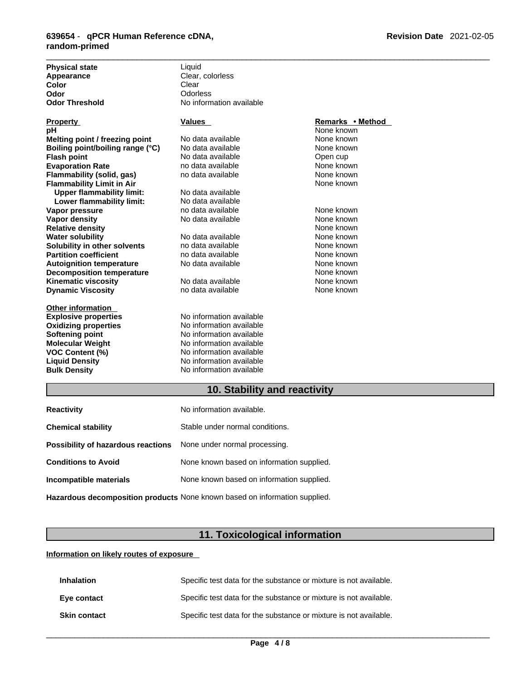| <b>Physical state</b>            | Liquid                   |                  |  |
|----------------------------------|--------------------------|------------------|--|
| Appearance                       | Clear, colorless         |                  |  |
| Color                            | Clear                    |                  |  |
| Odor                             | Odorless                 |                  |  |
| <b>Odor Threshold</b>            | No information available |                  |  |
| <b>Property</b>                  | <b>Values</b>            | Remarks • Method |  |
| pН                               |                          | None known       |  |
| Melting point / freezing point   | No data available        | None known       |  |
| Boiling point/boiling range (°C) | No data available        | None known       |  |
| Flash point                      | No data available        | Open cup         |  |
| <b>Evaporation Rate</b>          | no data available        | None known       |  |
| Flammability (solid, gas)        | no data available        | None known       |  |
| <b>Flammability Limit in Air</b> |                          | None known       |  |
| <b>Upper flammability limit:</b> | No data available        |                  |  |
| Lower flammability limit:        | No data available        |                  |  |
| Vapor pressure                   | no data available        | None known       |  |
| Vapor density                    | No data available        | None known       |  |
| <b>Relative density</b>          |                          | None known       |  |
| <b>Water solubility</b>          | No data available        | None known       |  |
| Solubility in other solvents     | no data available        | None known       |  |
| <b>Partition coefficient</b>     | no data available        | None known       |  |
| Autoignition temperature         | No data available        | None known       |  |
| <b>Decomposition temperature</b> |                          | None known       |  |
| <b>Kinematic viscosity</b>       | No data available        | None known       |  |
| <b>Dynamic Viscosity</b>         | no data available        | None known       |  |
| Other information                |                          |                  |  |
| <b>Explosive properties</b>      | No information available |                  |  |
| <b>Oxidizing properties</b>      | No information available |                  |  |
| Softening point                  | No information available |                  |  |
| Molecular Weight                 | No information available |                  |  |
| VOC Content (%)                  | No information available |                  |  |
| <b>Liquid Density</b>            | No information available |                  |  |
| <b>Bulk Density</b>              | No information available |                  |  |

## **10. Stability and reactivity**

| <b>Reactivity</b>                                                          | No information available.                 |  |
|----------------------------------------------------------------------------|-------------------------------------------|--|
| <b>Chemical stability</b>                                                  | Stable under normal conditions.           |  |
| Possibility of hazardous reactions                                         | None under normal processing.             |  |
| <b>Conditions to Avoid</b>                                                 | None known based on information supplied. |  |
| Incompatible materials                                                     | None known based on information supplied. |  |
| Hazardous decomposition products None known based on information supplied. |                                           |  |

## **11. Toxicological information**

**Information on likely routes of exposure**

| <b>Inhalation</b>   | Specific test data for the substance or mixture is not available. |
|---------------------|-------------------------------------------------------------------|
| Eye contact         | Specific test data for the substance or mixture is not available. |
| <b>Skin contact</b> | Specific test data for the substance or mixture is not available. |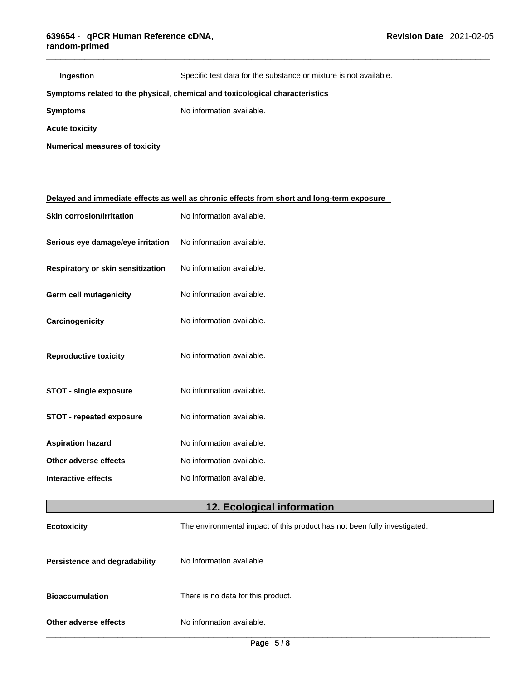| Ingestion                                                                    | Specific test data for the substance or mixture is not available.                          |  |  |  |  |
|------------------------------------------------------------------------------|--------------------------------------------------------------------------------------------|--|--|--|--|
| Symptoms related to the physical, chemical and toxicological characteristics |                                                                                            |  |  |  |  |
| <b>Symptoms</b>                                                              | No information available.                                                                  |  |  |  |  |
| <b>Acute toxicity</b>                                                        |                                                                                            |  |  |  |  |
| <b>Numerical measures of toxicity</b>                                        |                                                                                            |  |  |  |  |
|                                                                              |                                                                                            |  |  |  |  |
|                                                                              |                                                                                            |  |  |  |  |
|                                                                              | Delayed and immediate effects as well as chronic effects from short and long-term exposure |  |  |  |  |
| <b>Skin corrosion/irritation</b>                                             | No information available.                                                                  |  |  |  |  |
| Serious eye damage/eye irritation                                            | No information available.                                                                  |  |  |  |  |
| Respiratory or skin sensitization                                            | No information available.                                                                  |  |  |  |  |
| Germ cell mutagenicity                                                       | No information available.                                                                  |  |  |  |  |
| Carcinogenicity                                                              | No information available.                                                                  |  |  |  |  |
| <b>Reproductive toxicity</b>                                                 | No information available.                                                                  |  |  |  |  |
| <b>STOT - single exposure</b>                                                | No information available.                                                                  |  |  |  |  |
| <b>STOT - repeated exposure</b>                                              | No information available.                                                                  |  |  |  |  |
| <b>Aspiration hazard</b>                                                     | No information available.                                                                  |  |  |  |  |
| Other adverse effects                                                        | No information available.                                                                  |  |  |  |  |
| <b>Interactive effects</b>                                                   | No information available.                                                                  |  |  |  |  |
| 12. Ecological information                                                   |                                                                                            |  |  |  |  |
| <b>Ecotoxicity</b>                                                           | The environmental impact of this product has not been fully investigated.                  |  |  |  |  |
| <b>Persistence and degradability</b>                                         | No information available.                                                                  |  |  |  |  |
| <b>Bioaccumulation</b>                                                       | There is no data for this product.                                                         |  |  |  |  |

**Other adverse effects** No information available.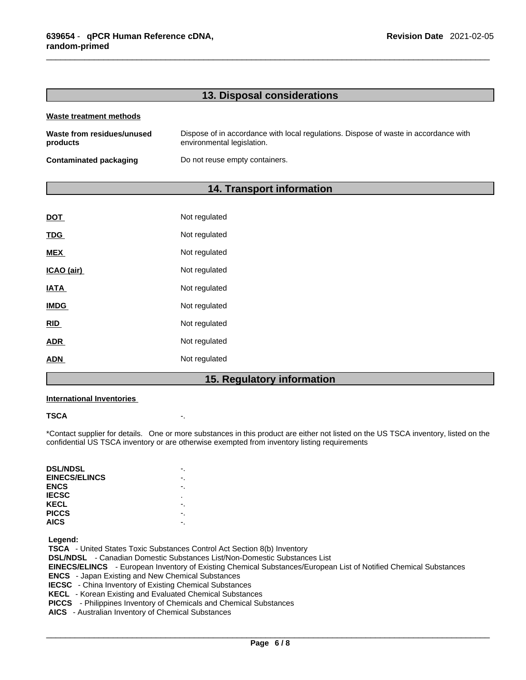#### **13. Disposal considerations**

#### **Waste treatment methods**

| Waste from residues/unused | Dispose of in accordance with local regulations. Dispose of waste in accordance with |
|----------------------------|--------------------------------------------------------------------------------------|
| products                   | environmental legislation.                                                           |
| Contaminated packaging     | Do not reuse empty containers.                                                       |

#### **14. Transport information**

| ADN         | Not regulated |  |
|-------------|---------------|--|
| <b>ADR</b>  | Not regulated |  |
| <u>RID</u>  | Not regulated |  |
| <b>IMDG</b> | Not regulated |  |
| <b>IATA</b> | Not regulated |  |
| ICAO (air)  | Not regulated |  |
| <b>MEX</b>  | Not regulated |  |
| TDG         | Not regulated |  |
| DOT         | Not regulated |  |

## **15. Regulatory information**

#### **International Inventories**

#### **TSCA** -.

\*Contact supplier for details. One or more substances in this product are either not listed on the US TSCA inventory, listed on the confidential US TSCA inventory or are otherwise exempted from inventory listing requirements

| <b>DSL/NDSL</b>      |    |
|----------------------|----|
| <b>EINECS/ELINCS</b> | ٠. |
| <b>ENCS</b>          |    |
| <b>IECSC</b>         | ٠  |
| <b>KECL</b>          |    |
| <b>PICCS</b>         |    |
| <b>AICS</b>          |    |

 **Legend:** 

 **TSCA** - United States Toxic Substances Control Act Section 8(b) Inventory  **DSL/NDSL** - Canadian Domestic Substances List/Non-Domestic Substances List  **EINECS/ELINCS** - European Inventory of Existing Chemical Substances/European List of Notified Chemical Substances  **ENCS** - Japan Existing and New Chemical Substances  **IECSC** - China Inventory of Existing Chemical Substances  **KECL** - Korean Existing and Evaluated Chemical Substances  **PICCS** - Philippines Inventory of Chemicals and Chemical Substances

 **AICS** - Australian Inventory of Chemical Substances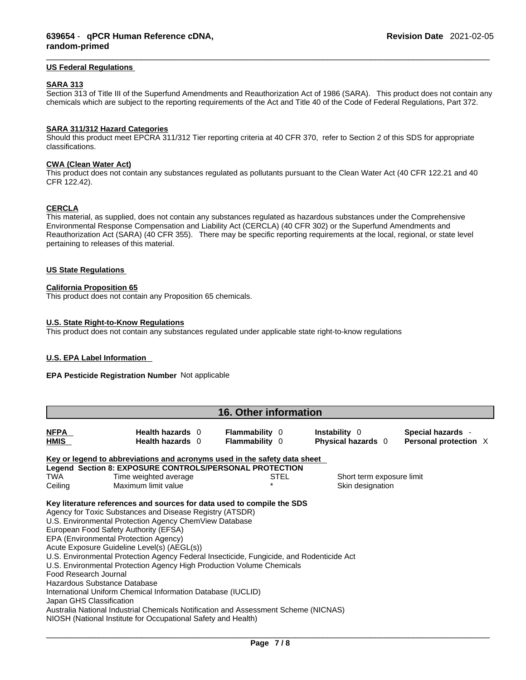#### **US Federal Regulations**

#### **SARA 313**

Section 313 of Title III of the Superfund Amendments and Reauthorization Act of 1986 (SARA). This product does not contain any chemicals which are subject to the reporting requirements of the Act and Title 40 of the Code of Federal Regulations, Part 372.

#### **SARA 311/312 Hazard Categories**

Should this product meet EPCRA 311/312 Tier reporting criteria at 40 CFR 370, refer to Section 2 of this SDS for appropriate classifications.

#### **CWA** (Clean Water Act)

This product does not contain any substances regulated as pollutants pursuant to the Clean Water Act (40 CFR 122.21 and 40 CFR 122.42).

#### **CERCLA**

This material, as supplied, does not contain any substances regulated as hazardous substances under the Comprehensive Environmental Response Compensation and Liability Act (CERCLA) (40 CFR 302) or the Superfund Amendments and Reauthorization Act (SARA) (40 CFR 355). There may be specific reporting requirements at the local, regional, or state level pertaining to releases of this material.

#### **US State Regulations**

#### **California Proposition 65**

This product does not contain any Proposition 65 chemicals.

#### **U.S. State Right-to-Know Regulations**

This product does not contain any substances regulated under applicable state right-to-know regulations

#### **U.S. EPA Label Information**

#### **EPA Pesticide Registration Number** Not applicable

| <b>16. Other information</b>                                                                                                                                                                                                                                                                                                                                                                                                                                                                                                                                                                                                                                                                                                                                                                                    |                                                                           |                                                |      |                                            |  |                                            |  |
|-----------------------------------------------------------------------------------------------------------------------------------------------------------------------------------------------------------------------------------------------------------------------------------------------------------------------------------------------------------------------------------------------------------------------------------------------------------------------------------------------------------------------------------------------------------------------------------------------------------------------------------------------------------------------------------------------------------------------------------------------------------------------------------------------------------------|---------------------------------------------------------------------------|------------------------------------------------|------|--------------------------------------------|--|--------------------------------------------|--|
| <b>NFPA</b><br><b>HMIS</b>                                                                                                                                                                                                                                                                                                                                                                                                                                                                                                                                                                                                                                                                                                                                                                                      | Health hazards 0<br>Health hazards 0                                      | <b>Flammability 0</b><br><b>Flammability 0</b> |      | <b>Instability</b> 0<br>Physical hazards 0 |  | Special hazards -<br>Personal protection X |  |
|                                                                                                                                                                                                                                                                                                                                                                                                                                                                                                                                                                                                                                                                                                                                                                                                                 | Key or legend to abbreviations and acronyms used in the safety data sheet |                                                |      |                                            |  |                                            |  |
|                                                                                                                                                                                                                                                                                                                                                                                                                                                                                                                                                                                                                                                                                                                                                                                                                 | Legend Section 8: EXPOSURE CONTROLS/PERSONAL PROTECTION                   |                                                |      |                                            |  |                                            |  |
| <b>TWA</b>                                                                                                                                                                                                                                                                                                                                                                                                                                                                                                                                                                                                                                                                                                                                                                                                      | Time weighted average                                                     |                                                | STEL | Short term exposure limit                  |  |                                            |  |
| Ceiling                                                                                                                                                                                                                                                                                                                                                                                                                                                                                                                                                                                                                                                                                                                                                                                                         | Maximum limit value                                                       |                                                |      | Skin designation                           |  |                                            |  |
| Key literature references and sources for data used to compile the SDS<br>Agency for Toxic Substances and Disease Registry (ATSDR)<br>U.S. Environmental Protection Agency ChemView Database<br>European Food Safety Authority (EFSA)<br>EPA (Environmental Protection Agency)<br>Acute Exposure Guideline Level(s) (AEGL(s))<br>U.S. Environmental Protection Agency Federal Insecticide, Fungicide, and Rodenticide Act<br>U.S. Environmental Protection Agency High Production Volume Chemicals<br>Food Research Journal<br>Hazardous Substance Database<br>International Uniform Chemical Information Database (IUCLID)<br>Japan GHS Classification<br>Australia National Industrial Chemicals Notification and Assessment Scheme (NICNAS)<br>NIOSH (National Institute for Occupational Safety and Health) |                                                                           |                                                |      |                                            |  |                                            |  |